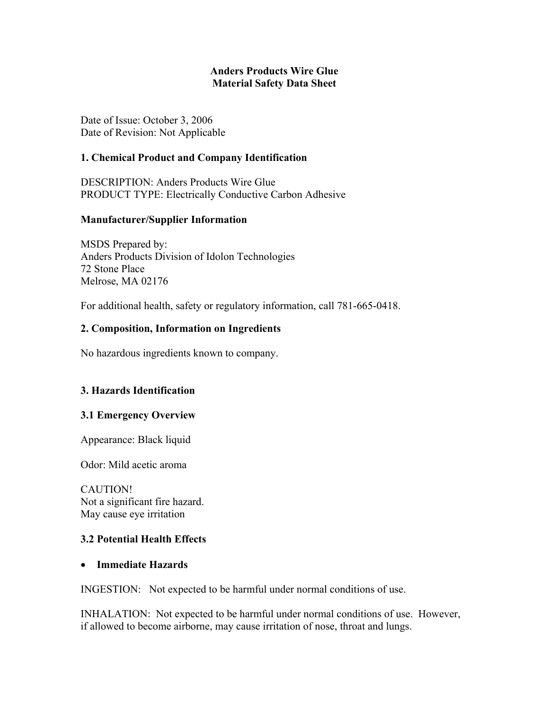#### **Anders Products Wire Glue Material Safety Data Sheet**

Date of Issue: October 3, 2006 Date of Revision: Not Applicable

#### **1. Chemical Product and Company Identification**

DESCRIPTION: Anders Products Wire Glue PRODUCT TYPE: Electrically Conductive Carbon Adhesive

#### **Manufacturer/Supplier Information**

MSDS Prepared by: Anders Products Division of Idolon Technologies 72 Stone Place Melrose, MA 02176

For additional health, safety or regulatory information, call 781-665-0418.

### **2. Composition, Information on Ingredients**

No hazardous ingredients known to company.

### **3. Hazards Identification**

#### **3.1 Emergency Overview**

Appearance: Black liquid

Odor: Mild acetic aroma

CAUTION! Not a significant fire hazard. May cause eye irritation

#### **3.2 Potential Health Effects**

#### • **Immediate Hazards**

INGESTION: Not expected to be harmful under normal conditions of use.

INHALATION: Not expected to be harmful under normal conditions of use. However, if allowed to become airborne, may cause irritation of nose, throat and lungs.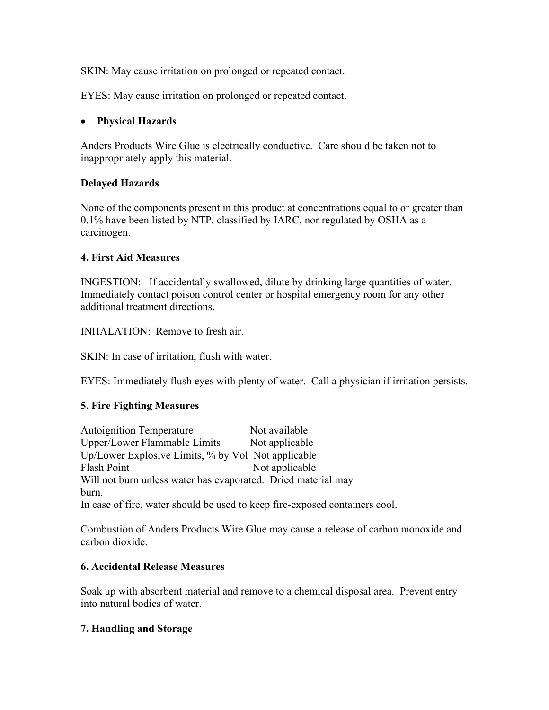SKIN: May cause irritation on prolonged or repeated contact.

EYES: May cause irritation on prolonged or repeated contact.

## • **Physical Hazards**

Anders Products Wire Glue is electrically conductive. Care should be taken not to inappropriately apply this material.

### **Delayed Hazards**

None of the components present in this product at concentrations equal to or greater than 0.1% have been listed by NTP, classified by IARC, nor regulated by OSHA as a carcinogen.

### **4. First Aid Measures**

INGESTION: If accidentally swallowed, dilute by drinking large quantities of water. Immediately contact poison control center or hospital emergency room for any other additional treatment directions.

INHALATION: Remove to fresh air.

SKIN: In case of irritation, flush with water.

EYES: Immediately flush eyes with plenty of water. Call a physician if irritation persists.

# **5. Fire Fighting Measures**

Autoignition Temperature Not available Upper/Lower Flammable Limits Not applicable Up/Lower Explosive Limits, % by Vol Not applicable Flash Point Not applicable Will not burn unless water has evaporated. Dried material may burn. In case of fire, water should be used to keep fire-exposed containers cool.

Combustion of Anders Products Wire Glue may cause a release of carbon monoxide and carbon dioxide.

### **6. Accidental Release Measures**

Soak up with absorbent material and remove to a chemical disposal area. Prevent entry into natural bodies of water.

# **7. Handling and Storage**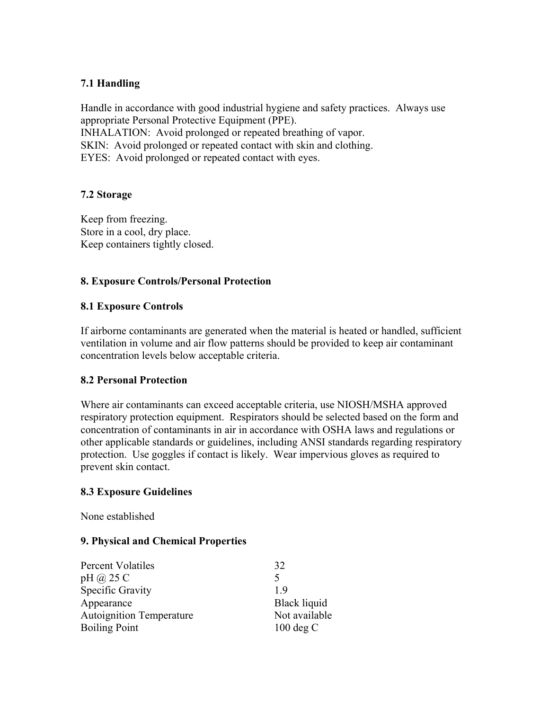### **7.1 Handling**

Handle in accordance with good industrial hygiene and safety practices. Always use appropriate Personal Protective Equipment (PPE). INHALATION: Avoid prolonged or repeated breathing of vapor. SKIN: Avoid prolonged or repeated contact with skin and clothing. EYES: Avoid prolonged or repeated contact with eyes.

### **7.2 Storage**

Keep from freezing. Store in a cool, dry place. Keep containers tightly closed.

### **8. Exposure Controls/Personal Protection**

#### **8.1 Exposure Controls**

If airborne contaminants are generated when the material is heated or handled, sufficient ventilation in volume and air flow patterns should be provided to keep air contaminant concentration levels below acceptable criteria.

### **8.2 Personal Protection**

Where air contaminants can exceed acceptable criteria, use NIOSH/MSHA approved respiratory protection equipment. Respirators should be selected based on the form and concentration of contaminants in air in accordance with OSHA laws and regulations or other applicable standards or guidelines, including ANSI standards regarding respiratory protection. Use goggles if contact is likely. Wear impervious gloves as required to prevent skin contact.

#### **8.3 Exposure Guidelines**

None established

#### **9. Physical and Chemical Properties**

| Percent Volatiles               | 32                   |
|---------------------------------|----------------------|
| pH $\omega$ 25 C                | $\rightarrow$        |
| Specific Gravity                | 19                   |
| Appearance                      | Black liquid         |
| <b>Autoignition Temperature</b> | Not available        |
| <b>Boiling Point</b>            | $100 \text{ deg } C$ |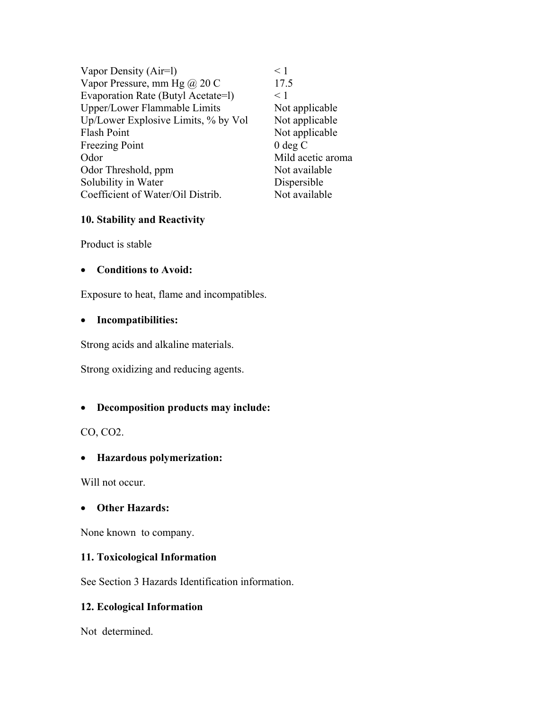| Vapor Density (Air=1)               | $\leq 1$          |
|-------------------------------------|-------------------|
| Vapor Pressure, mm Hg $\omega$ 20 C | 17.5              |
| Evaporation Rate (Butyl Acetate=1)  | < 1               |
| <b>Upper/Lower Flammable Limits</b> | Not applicable    |
| Up/Lower Explosive Limits, % by Vol | Not applicable    |
| Flash Point                         | Not applicable    |
| <b>Freezing Point</b>               | $0$ deg C         |
| Odor                                | Mild acetic aroma |
| Odor Threshold, ppm                 | Not available     |
| Solubility in Water                 | Dispersible       |
| Coefficient of Water/Oil Distrib.   | Not available     |
|                                     |                   |

**10. Stability and Reactivity**

Product is stable

### • **Conditions to Avoid:**

Exposure to heat, flame and incompatibles.

### • **Incompatibilities:**

Strong acids and alkaline materials.

Strong oxidizing and reducing agents.

# • **Decomposition products may include:**

CO, CO2.

# • **Hazardous polymerization:**

Will not occur.

# • **Other Hazards:**

None known to company.

# **11. Toxicological Information**

See Section 3 Hazards Identification information.

### **12. Ecological Information**

Not determined.